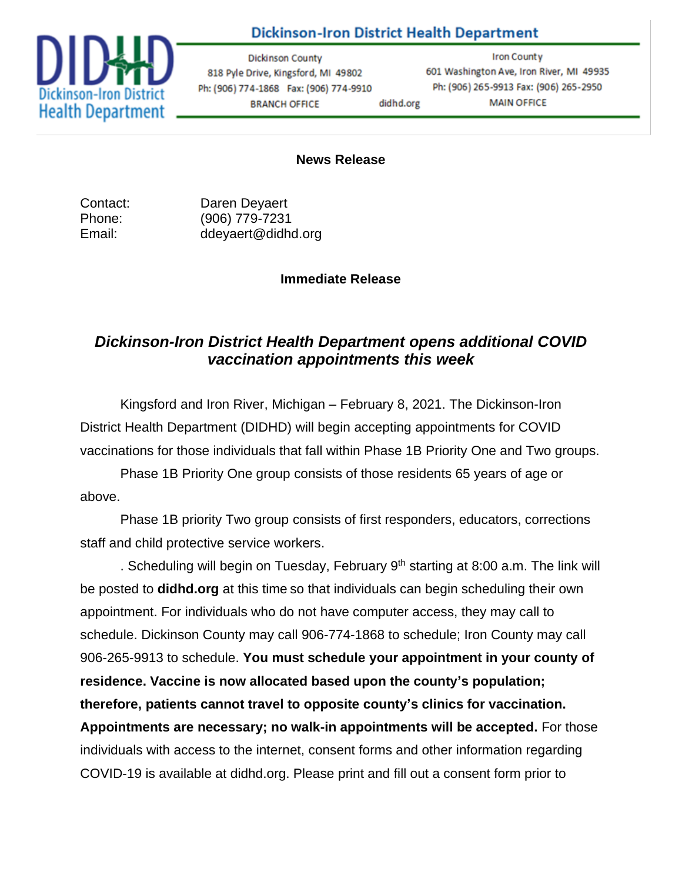## **Dickinson-Iron District Health Department**



**Dickinson County** 818 Pyle Drive, Kingsford, MI 49802 Ph: (906) 774-1868 Fax: (906) 774-9910 **BRANCH OFFICE** didhd.org

**Iron County** 601 Washington Ave, Iron River, MI 49935 Ph: (906) 265-9913 Fax: (906) 265-2950 **MAIN OFFICE** 

## **News Release**

Contact: Daren Deyaert Phone: (906) 779-7231 Email: ddeyaert@didhd.org

## **Immediate Release**

## *Dickinson-Iron District Health Department opens additional COVID vaccination appointments this week*

Kingsford and Iron River, Michigan – February 8, 2021. The Dickinson-Iron District Health Department (DIDHD) will begin accepting appointments for COVID vaccinations for those individuals that fall within Phase 1B Priority One and Two groups.

Phase 1B Priority One group consists of those residents 65 years of age or above.

Phase 1B priority Two group consists of first responders, educators, corrections staff and child protective service workers.

. Scheduling will begin on Tuesday, February  $9<sup>th</sup>$  starting at 8:00 a.m. The link will be posted to **didhd.org** at this time so that individuals can begin scheduling their own appointment. For individuals who do not have computer access, they may call to schedule. Dickinson County may call 906-774-1868 to schedule; Iron County may call 906-265-9913 to schedule. **You must schedule your appointment in your county of residence. Vaccine is now allocated based upon the county's population; therefore, patients cannot travel to opposite county's clinics for vaccination. Appointments are necessary; no walk-in appointments will be accepted.** For those individuals with access to the internet, consent forms and other information regarding COVID-19 is available at didhd.org. Please print and fill out a consent form prior to